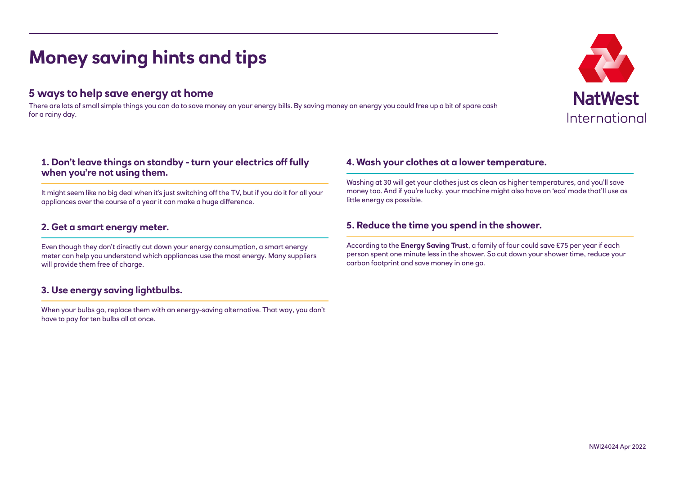# **Money saving hints and tips**

## **5 ways to help save energy at home**

There are lots of small simple things you can do to save money on your energy bills. By saving money on energy you could free up a bit of spare cash for a rainy day.

### **1. Don't leave things on standby - turn your electrics off fully when you're not using them.**

It might seem like no big deal when it's just switching off the TV, but if you do it for all your appliances over the course of a year it can make a huge difference.

#### **2. Get a smart energy meter.**

Even though they don't directly cut down your energy consumption, a smart energy meter can help you understand which appliances use the most energy. Many suppliers will provide them free of charge.

## **3. Use energy saving lightbulbs.**

When your bulbs go, replace them with an energy-saving alternative. That way, you don't have to pay for ten bulbs all at once.

#### **4. Wash your clothes at a lower temperature.**

Washing at 30 will get your clothes just as clean as higher temperatures, and you'll save money too. And if you're lucky, your machine might also have an 'eco' mode that'll use as little energy as possible.

## **5. Reduce the time you spend in the shower.**

According to the **Energy Saving Trust**, a family of four could save £75 per year if each person spent one minute less in the shower. So cut down your shower time, reduce your carbon footprint and save money in one go.